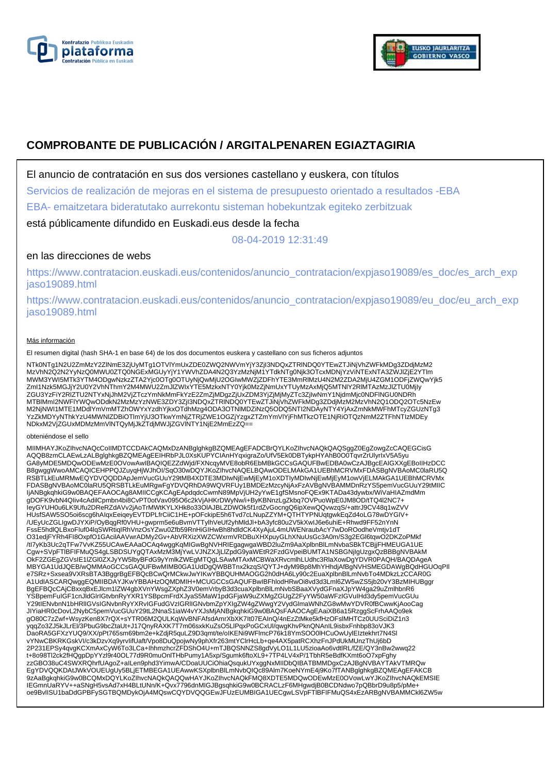



# **COMPROBANTE DE PUBLICACIÓN / ARGITALPENAREN EGIAZTAGIRIA**

El anuncio de contratación en sus dos versiones castellano y euskera, con títulos

Servicios de realización de mejoras en el sistema de presupuesto orientado a resultados -EBA

EBA- emaitzetara bideratutako aurrekontu sisteman hobekuntzak egiteko zerbitzuak

está públicamente difundido en Euskadi.eus desde la fecha

08-04-2019 12:31:49

# en las direcciones de webs

https://www.contratacion.euskadi.eus/contenidos/anuncio\_contratacion/expjaso19089/es\_doc/es\_arch\_exp jaso19089.html

https://www.contratacion.euskadi.eus/contenidos/anuncio\_contratacion/expjaso19089/eu\_doc/eu\_arch\_exp jaso19089.html

## Más información

El resumen digital (hash SHA-1 en base 64) de los dos documentos euskera y castellano con sus ficheros adjuntos

NTk0NTg1N2U2ZmMzY2ZlNmE3ZjUyMTg1OTVlYmUxZDE0ZWQ2NWVmYjY3ZjI3NDQxZTRlNDQ0YTEwZTJiNjVhZWFkMDg3ZDdjMzM2 MzVhN2Q2N2YyNzQ0MWU0ZTQ0NGExMGUyYjY1YWVhZDA4N2Q3YzMzNjM1YTdkNTg0Njk3OTcxMDNjYzViNTExNTA3ZWJIZjE2YTlm<br>MWM3YWI5MTk3YTM4ODgwNzkzZTA2Yjc0OTg0OTUyNjQwMjU2OGIwMWZjZDFhYTE3MmRIMzU4N2M2ZDA2MjU4ZGM1ODFjZWQwYjk5<br>ZmI1Nzk5MGJjY2U0Y2Vh ZGU3YzFiY2RlZTU2NTYxNjJhM2VjZTczYmNkMmFkYzE2ZmZjMDgzZjUxZDM3YjZjMjMyZTc3ZjIwNmY1NjdmMjc0NDFlNGU0NDRh MTBlMmI2NWFlYWQwODdkN2MzMzYzNWE3ZDY3ZjI3NDQxZTRlNDQ0YTEwZTJiNjVhZWFkMDg3ZDdjMzM2MzVhN2Q1ODQ2OTc5NzEw M2NjNWI1MTE1MDdlYmVmMTZhOWYxYzdhYjkxOTdhMzg4ODA3OTNlMDZiNzQ5ODQ5NTI2NDAyNTY4YjAxZmNkMWFhMTcyZGUzNTg3 YzZkMDYyNThkYzU4MWNlZDBiOTlmYjU3OTkwYmNjZTRjZWE1OGZjYzgxZTZmYmVlYjFhMTkzOTE1NjRiOTQzNmM2ZTFhNTIzMDEy NDkxM2VjZGUxMDMzMmVlNTQyMjJkZTdjMWJjZGVlNTY1NjE2MmEzZQ==

#### obteniéndose el sello

MIIMHAYJKoZIhvcNAQcCoIIMDTCCDAkCAQMxDzANBglghkgBZQMEAgEFADCBrQYLKoZIhvcNAQkQAQSggZ0EgZowgZcCAQEGCisG AQQB8zmCLAEwLzALBglghkgBZQMEAgEEIHRbPJL0XsKUPYCIAnHYqxigraZo/UfV5Ek0DBTykpHYAhB0O0TqvrZrUlyrIxV5A5yu GA8yMDE5MDQwODEwMzE0OVowAwIBAQIQEZZdWjd/FXNcqyMVE8obR6EbMBkGCCsGAQUFBwEDBA0wCzAJBgcEAIGXXgEBoIIHzDCC B8gwggWwoAMCAQICEHPPQJZuyqHjWJhOI/SqO30wDQYJKoZIhvcNAQELBQAwODELMAkGA1UEBhMCRVMxFDASBgNVBAoMC0laRU5Q RSBTLkEuMRMwEQYDVQQDDApJemVucGUuY29tMB4XDTE3MDIwNjEwMjEyM1oXDTIyMDIwNjEwMjEyM1owVjELMAkGA1UEBhMCRVMx<br>FDASBgNVBAoMC0laRU5QRSBTLkEuMRgwFgYDVQRhDA9WQVRFUy1BMDEzMzcyNjAxFzAVBgNVBAMMDnRzYS5pemVucGUuY29tMIIC IjANBgkqhkiG9w0BAQEFAAOCAg8AMIICCqKCAqEApdqdcCwmN89MpVjUH2yYwE1gfSMsnoFQEx9KTADa43dywbx/WiVaHIAZmdMm gDOFK9vbN4QIiv4cAdilCpmbn4bi8CvPT0otVav095O6c2kVjAHKrDWyNw/i+ByKBNnzLgZkbq7OVPuoWpE0JM8OD/tTQ4l2NC7+ IeyGYUH0u6LK9Ufu2DReRZdAVv2jAoTrMWtKYLXHk8o33OlAJBLZDWOk5f1rdZvGocngQ6ipXewQQvwzqS/+attrJ9CV48q1wZVV HUsfSAW5SO5oi6scg6hAIqxEeiqeyEVTDPLfrCiiC1HE+pOFckipE5h6Tvd7cLNupZZYM+QTHTYPNUqtgwkEqZd4oLG78wDYGIV+ /UEyUcZGLIgwDJYXiP/OyBqgRf0VHU+gwprm5e6uBvmVTTylhVeUf2yhMldJl+bA3yfc80u2V5kXwIJ6e6uhiE+Rhwd9FF52nYnN<br>FssE5hdlQLBxoFluf04lqSWRtiqIRhVnzOsYZwu0Zfb59RnHiGIHwBh8hdldCK4XyAjuL4mUWENraubAcY7wDoROodheVmtjv1dT O31edjFYRh4FI8OxpfO1GAcilAAVwrADMy2Gv+AbVRXizXWZCWxrmVRDBuXHXpuyGLhXNuUsGc3A0m/S3g2EGl6tqwO2DKZoPMkf<br>/tl7yKb3Uc2qTFw7VvKZ55UCAwEAAaOCAq4wggKqMlGwBgNVHRIEgagwgaWBD2luZm9AaXplbnBlLmNvbaSBkTCBjjFHMEUGA1UE Cgw+SVpFTlBFIFMuQS4gLSBDSUYgQTAxMzM3MjYwLVJNZXJjLlZpdG9yaWEtR2FzdGVpeiBUMTA1NSBGNjIgUzgxQzBBBgNVBAkM OkF2ZGEgZGVsIE1lZGl0ZXJyYW5lbyBFdG9yYmlkZWEgMTQgLSAwMTAxMCBWaXRvcmlhLUdhc3RlaXowDgYDVR0PAQH/BAQDAgeA MBYGA1UdJQEB/wQMMAoGCCsGAQUFBwMIMB0GA1UdDgQWBBTnx2kzqS/QYTJ+dyM9Bp8MhYHhdjAfBgNVHSMEGDAWgBQdHGUOqPIl e7SRz+Sxsea9VXRsBTA3BggrBgEFBQcBCwQrMCkwJwYIKwYBBQUHMAOGG2h0dHA6Ly90c2EuaXplbnBlLmNvbTo4MDkzLzCCAR0G A1UdIASCARQwggEQMIIBDAYJKwYBBAHzOQMDMIH+MCUGCCsGAQUFBwIBFhlodHRwOi8vd3d3Lml6ZW5wZS5jb20vY3BzMIHUBggr BgEFBQcCAjCBxxqBxEJlcm1lZW4gbXVnYWsgZXphZ3V0emVrbyB3d3cuaXplbnBlLmNvbSBaaXVydGFnaXJpYW4ga29uZmlhbnR6 YSBpemFuIGF1cnJldGlrIGtvbnRyYXR1YSBpcmFrdXJyaS5MaW1pdGFjaW9uZXMgZGUgZ2FyYW50aWFzIGVuIHd3dy5pemVucGUu<br>Y29tIENvbnN1bHRIIGVsIGNvbnRyYXRvIGFudGVzIGRIIGNvbmZpYXIgZW4gZWwgY2VydGlmaWNhZG8wMwYDVR0fBCwwKjAooCag JIYiaHR0cDovL2NybC5pemVucGUuY29tL2NnaS1iaW4vYXJsMjANBgkqhkiG9w0BAQsFAAOCAgEAaiXB6a15RzggScFrhAAQo9ek gO80C7zZwf+WsyzKen8X7rQX+sYTR06M2QULKqWvBNFAfsdAmrXbXK7It07EAInQ/4nEzZtMke5kfHzOFslMHTCz0UUSciDiZ1n3 yqqZo3ZJ5kJLrEl/3PbuG9bcZtaUt+J17QnyRAXK7T7m06sxkKuZsO5LlPqxPoGCxUl/qwgKhvPknQNAnIL9isbxFnhbp83oVJK3<br>DaoRA5GFXzYUQ9/XX/pPt765sm69bm2e+kZdjR5quLZ9D3qmt/te/oIKENi9WFlmcP76k18YmSOO0lHCuOwUylEIztekhrt7N4Sl vYNwCBKRKGskVI/c3kDzvXq9yrvIifUaft/Vpo8DuQpojwNy9phXfr263mtYClrHcLb+qe4AX5patRCXhzFnJPdUkMUnzThUj6bD 2P231EPSy4qvgKCXmAxCyW6To3LCa+IhhmzhcrZFDShO4U+mTJBQSNNZS8gdVyLO1L1LU5zioaAo6vdtlRL/fZE/QY3nBw2wwq22 t+8o98Tl2ck2fHQgpDpYYzl9r40OL77d9R0muOnlTHbPumy1A5xp/Sgumk6ftoXL9+7TP4LV4xP/1TbhR5eBdfKXmt6oO7xpFghy zzGBO38uC4SWXRQhrfUAgoZ+aILen9phd3YimwA/CDoaUUCiOhiaQsqukUYxggNxMIIDbQIBATBMMDgxCzAJBgNVBAYTAkVTMRQw EgYDVQQKDAtJWkVOUEUgUy5BLjETMBEGA1UEAwwKSXplbnBlLmNvbQlQc89Alm7KoeNYmE4j9Ko7fTANBglghkgBZQMEAgEFAKCB<br>9zAaBgkqhkiG9w0BCQMxDQYLKoZlhvcNAQkQAQQwHAYJKoZlhvcNAQkFMQ8XDTE5MDQwODEwMzE0OVowLwYJKoZlhvcNAQkEMSIE IEGmnUaRYV++aSNgH5vsAd7xH4BLtUNn/K+Qvx7796dnMIGJBgsqhkiG9w0BCRACLzF6MHgwdjB0BCDNdwo7pQBbrD9u8p5/pMe+ oe9BvlISU1baDdGPBFySGTBQMDykOjA4MQswCQYDVQQGEwJFUzEUMBIGA1UECgwLSVpFTlBFIFMuQS4xEzARBgNVBAMMCkl6ZW5w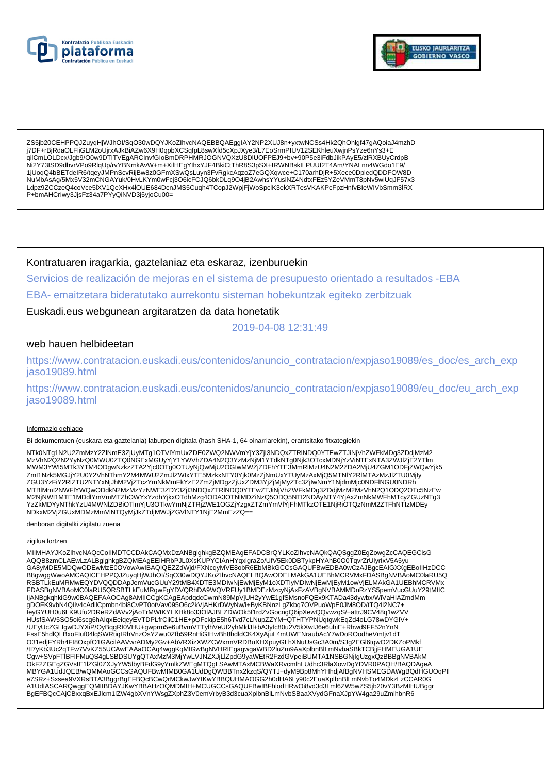



ZS5jb20CEHPPQJZuyqHjWJhOl/SqO30wDQYJKoZIhvcNAQEBBQAEggIAY2NP2XUJ8n+yxtwNCSs4Hk2QhOhlgf47gAQoiaJ4mzhD j7DF+rBjRdaOLFliGLM2oUjrxAJkBiAZw6X9H0qpbXCSqfpL8swXfd5cXpJXye3/L7EoSrmPIUV12SEKhleuXwjnPsYze6nYs3+E qilCmLOLDcx/Jgb9/O0w9DTITVEgARCInvfGloBmDRPHMRJOGNVQXzU8DIUOFPEJ9+bv+90P5e3iFdbJikPAyE5/zIRXBUyCrdpB Ni2Y73ISD9dhvrVPo9RlqUp/rvYBNmkAvW+m+XiIHEgYIhxYJF4BkiCtThR8S3pSX+IRWNBskILPUUf2T4Am/YNALnn4WGdo1E9/ 1jUoqQ4bBETdelR6/tqeyJMPnScvRijBw8z0GFmXSwQsLuyn3FvRgkcAqzoZ7eGQXqwce+C170arhDjR+5Xece0DpledQDDFOW8D NuMbAsAg/5Mx5V32mCNGAYuk/0HvLKYm0wFcj3O6icFCJQ6bkDLq9O4jB2AwhsYYusiNZ4NdtxFEz5YZeVMmT8pNv5wiUqJF57x3 Ldpz9ZCCzeQ4coVce5lXV1QeXHx4lOUE684DcnJMS5Cuqh4TCopJ2WpjFjWoSpclK3ekXRTesVKAKPcFpzHnfvBleWIVbSmm3lRX P+bmAHCrlwy3JjsFz34a7PYyQiNVD3j5yjoCu00=

Kontratuaren iragarkia, gaztelaniaz eta eskaraz, izenburuekin

Servicios de realización de mejoras en el sistema de presupuesto orientado a resultados -EBA

EBA- emaitzetara bideratutako aurrekontu sisteman hobekuntzak egiteko zerbitzuak

Euskadi.eus webgunean argitaratzen da data honetatik

2019-04-08 12:31:49

# web hauen helbideetan

https://www.contratacion.euskadi.eus/contenidos/anuncio\_contratacion/expjaso19089/es\_doc/es\_arch\_exp jaso19089.html

https://www.contratacion.euskadi.eus/contenidos/anuncio\_contratacion/expjaso19089/eu\_doc/eu\_arch\_exp iaso19089.html

## Informazio gehiago

Bi dokumentuen (euskara eta gaztelania) laburpen digitala (hash SHA-1, 64 oinarriarekin), erantsitako fitxategiekin

NTk0NTg1N2U2ZmMzY2ZlNmE3ZjUyMTg1OTVlYmUxZDE0ZWQ2NWVmYjY3Zjl3NDQxZTRINDQ0YTEwZTJiNjVhZWFkMDg3ZDdjMzM2 MzVhN2Q2N2YyNzQ0MWU0ZTQ0NGExMGUyYjY1YWVhZDA4N2Q3YzMzNjM1YTdkNTg0Njk3OTcxMDNjYzViNTExNTA3ZWJIZjE2YTIm<br>MWM3YWI5MTk3YTM4ODgwNzkzZTA2Yjc0OTg0OTUyNjQwMjU2OGIwMWZjZDFhYTE3MmRIMzU4N2M2ZDA2MjU4ZGM1ODFjZWQwYjk5 www.org/www.cz.university?university?university?university?university?university?university?university?university?university?university?university?university?university?university?university?university?university?universit MTBIMmI2NWFIYWQwODdkN2MzMzYzNWE3ZDY3ZjI3NDQxZTRINDQ0YTEwZTJiNjVhZWFkMDg3ZDdjMzM2MzVhN2Q1ODQ2OTc5NzEw M2NjNWI1MTE1MDdlYmVmMTZhOWYxYzdhYjkxOTdhMzg4ODA3OTNIMDZiNzQ5ODQ5NTI2NDAyNTY4YjAxZmNkMWFhMTcyZGUzNTg3 YzZKMDYyNThkYzU4MWNIZDBiOTImYjU3OTKwYmNjZTRjZWE1OGZjYzgxZTZmYmVIYjFhMTkzOTE1NjRiOTQzNmM2ZTFhNTIzMDEy NDkxM2VjZGUxMDMzMmVINTQyMjJkZTdjMWJjZGVINTY1NjE2MmEzZQ==

denboran digitalki zigilatu zuena

#### zigilua lortzen

MIIMHAYJKoZIhvcNAQcCoIIMDTCCDAkCAQMxDzANBglghkgBZQMEAgEFADCBrQYLKoZIhvcNAQkQAQSggZ0EgZowgZcCAQEGCisG AQQB8zmCLAEwLzALBglghkgBZQMEAgEEIHRbPJL0XsKUPYCIAnHYqxigraZo/UfV5Ek0DBTykpHYAhB0O0TqvrZrUlyrlxV5A5yu<br>GA8yMDE5MDQwODEwMzE0OVowAwIBAQIQEZZdWjd/FXNcqyMVE8obR6EbMBkGCCsGAQUFBwEDBA0wCzAJBgcEAIGXXgEBoIIHzDCC B8gwggWwoAMCAQICEHPPQJZuyqHjWJhOI/SqO30wDQYJKoZIhvcNAQELBQAwODELMAkGA1UEBhMCRVMxFDASBgNVBAoMC0laRU5Q RSBTLKEuMRMwEQYDVQQDDApJemVucGUuY29tMB4XDTE3MDIwNjEwMjEyM1oXDTIyMDIwNjEwMjEyM1owVjELMAkGA1UEBhMCRVMx FDASBgNVBAoMC0laRU5QRSBTLkEuMRgwFgYDVQRhDA9WQVRFUy1BMDEzMzcyNjAxFzAVBgNVBAMMDnRzYS5pemVucGUuY29tMIIC IjANBgkqhkiG9w0BAQEFAAOCAg8AMIICCgKCAgEApdqdcCwmN89MpVjUH2yYwE1gfSMsnoFQEx9KTADa43dywbx/WiVaHIAZmdMm gDOFK9vbN4Qliv4cAdilCpmbn4bi8CvPT0otVav095O6c2kVjAHKrDWyNw/i+ByKBNnzLgZkbq7OVPuoWpE0JM8OD/tTQ4l2NC7+ leyGYUH0u6LK9Ufu2DReRZdAVv2jAoTrMWtKYLXHk8o33OIAJBLZDWOk5f1rdZvGocngQ6ipXewQQvwzqS/+attrJ9CV48q1wZVV HUsfSAW5SO5oi6scg6hAlqxEeiqeyEVTDPLfrCiiC1HE+pOFckipE5h6Tvd7cLNupZZYM+QTHTYPNUqtgwkEqZd4oLG78wDYGIV+<br>/UEyUcZGLIgwDJYXiP/OyBqgRf0VHU+gwprm5e6uBvmVTTylhVeUf2yhMldJl+bA3yfc80u2V5kXwlJ6e6uhiE+Rhwd9FF52nYnN FssE5hdlQLBxoFluf04lqSWRtiqIRhVnzOsYZwu0Zfb59RnHiGIHwBh8hdldCK4XyAjuL4mUWENraubAcY7wDoROodheVmtjv1dT O31edjFYRh4Fl8OxpfO1GAcilAAVwrADMy2Gv+AbVRXizXWZCWxrmVRDBuXHXpuyGLhXNuUsGc3A0m/S3g2EGl6tqwO2DKZoPMkf /tl7yKb3Uc2qTFw7VvKZ55UCAwEAAaOCAq4wggKqMIGwBgNVHRIEgagwgaWBD2IuZm9AaXplbnBlLmNvbaSBkTCBjjFHMEUGA1UE Cgw+SVpFTIBFIFMuQS4gLSBDSUYgQTAxMzM3MjYwLVJNZXJjLlZpdG9yaWEtR2FzdGVpeiBUMTA1NSBGNjIgUzgxQzBBBgNVBAkM CONFIDENTIAL IN WARRY THE MAGNIFICATION IN THE UNIVERSITY AND CONFIDENT AND CONFIDENT AND CONFIDENT AND CONFIDENTIAL AND A CONFIDENTIAL CONFIDENTIAL CONFIDENTIAL CONFIDENTIAL CONFIDENTIAL CONFIDENTIAL CONFIDENTIAL CONFIDEN BgEFBQcCAiCBxxgBxEJlcm1lZW4gbXVnYWsgZXphZ3V0emVrbvB3d3cuaXplbnBlLmNvbSBaaXVvdGFnaXJpYW4ga29uZmlhbnR6